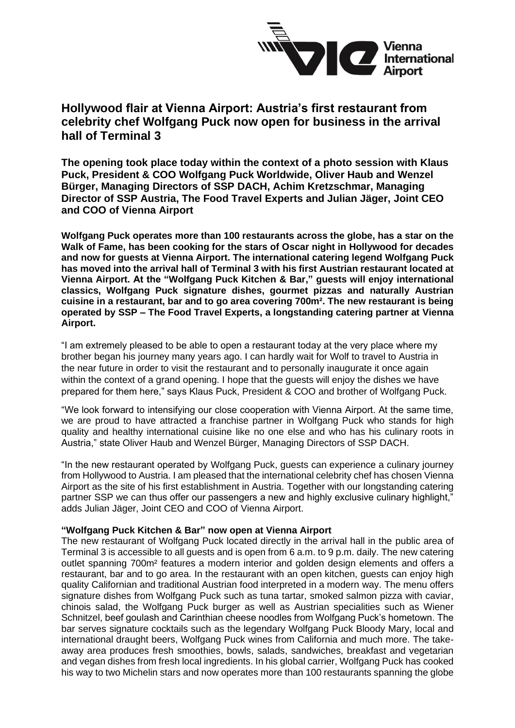

## **Hollywood flair at Vienna Airport: Austria's first restaurant from celebrity chef Wolfgang Puck now open for business in the arrival hall of Terminal 3**

**The opening took place today within the context of a photo session with Klaus Puck, President & COO Wolfgang Puck Worldwide, Oliver Haub and Wenzel Bürger, Managing Directors of SSP DACH, Achim Kretzschmar, Managing Director of SSP Austria, The Food Travel Experts and Julian Jäger, Joint CEO and COO of Vienna Airport**

**Wolfgang Puck operates more than 100 restaurants across the globe, has a star on the Walk of Fame, has been cooking for the stars of Oscar night in Hollywood for decades and now for guests at Vienna Airport. The international catering legend Wolfgang Puck has moved into the arrival hall of Terminal 3 with his first Austrian restaurant located at Vienna Airport. At the "Wolfgang Puck Kitchen & Bar," guests will enjoy international classics, Wolfgang Puck signature dishes, gourmet pizzas and naturally Austrian cuisine in a restaurant, bar and to go area covering 700m². The new restaurant is being operated by SSP – The Food Travel Experts, a longstanding catering partner at Vienna Airport.** 

"I am extremely pleased to be able to open a restaurant today at the very place where my brother began his journey many years ago. I can hardly wait for Wolf to travel to Austria in the near future in order to visit the restaurant and to personally inaugurate it once again within the context of a grand opening. I hope that the guests will enjoy the dishes we have prepared for them here," says Klaus Puck, President & COO and brother of Wolfgang Puck.

"We look forward to intensifying our close cooperation with Vienna Airport. At the same time, we are proud to have attracted a franchise partner in Wolfgang Puck who stands for high quality and healthy international cuisine like no one else and who has his culinary roots in Austria," state Oliver Haub and Wenzel Bürger, Managing Directors of SSP DACH.

"In the new restaurant operated by Wolfgang Puck, guests can experience a culinary journey from Hollywood to Austria. I am pleased that the international celebrity chef has chosen Vienna Airport as the site of his first establishment in Austria. Together with our longstanding catering partner SSP we can thus offer our passengers a new and highly exclusive culinary highlight." adds Julian Jäger, Joint CEO and COO of Vienna Airport.

## **"Wolfgang Puck Kitchen & Bar" now open at Vienna Airport**

The new restaurant of Wolfgang Puck located directly in the arrival hall in the public area of Terminal 3 is accessible to all guests and is open from 6 a.m. to 9 p.m. daily. The new catering outlet spanning 700m² features a modern interior and golden design elements and offers a restaurant, bar and to go area. In the restaurant with an open kitchen, guests can enjoy high quality Californian and traditional Austrian food interpreted in a modern way. The menu offers signature dishes from Wolfgang Puck such as tuna tartar, smoked salmon pizza with caviar, chinois salad, the Wolfgang Puck burger as well as Austrian specialities such as Wiener Schnitzel, beef goulash and Carinthian cheese noodles from Wolfgang Puck's hometown. The bar serves signature cocktails such as the legendary Wolfgang Puck Bloody Mary, local and international draught beers, Wolfgang Puck wines from California and much more. The takeaway area produces fresh smoothies, bowls, salads, sandwiches, breakfast and vegetarian and vegan dishes from fresh local ingredients. In his global carrier, Wolfgang Puck has cooked his way to two Michelin stars and now operates more than 100 restaurants spanning the globe